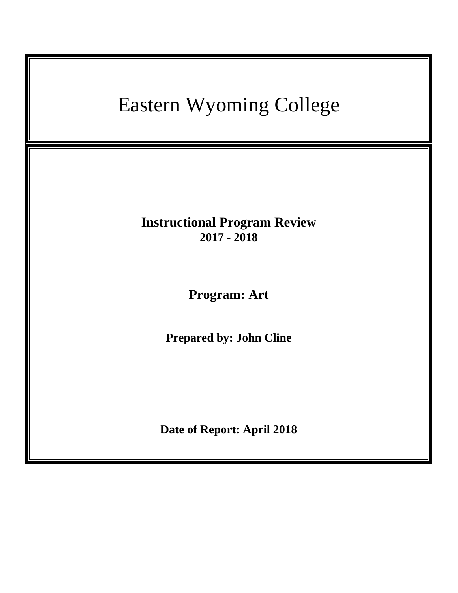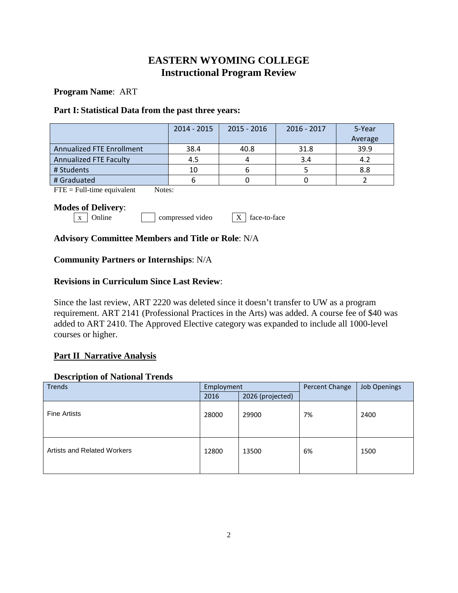# **EASTERN WYOMING COLLEGE Instructional Program Review**

#### **Program Name**: ART

#### **Part I: Statistical Data from the past three years:**

|                                  | $2014 - 2015$ | $2015 - 2016$ | $2016 - 2017$ | 5-Year<br>Average |
|----------------------------------|---------------|---------------|---------------|-------------------|
| <b>Annualized FTE Enrollment</b> | 38.4          | 40.8          | 31.8          | 39.9              |
| <b>Annualized FTE Faculty</b>    | 4.5           |               | 3.4           | 4.2               |
| # Students                       | 10            |               |               | 8.8               |
| # Graduated                      |               |               |               |                   |

 $\overline{FTE} = \text{Full-time equivalent}$  Notes:

#### **Modes of Delivery**:

 $\boxed{x}$  Online compressed video  $\boxed{X}$  face-to-face

### **Advisory Committee Members and Title or Role**: N/A

### **Community Partners or Internships**: N/A

### **Revisions in Curriculum Since Last Review**:

Since the last review, ART 2220 was deleted since it doesn't transfer to UW as a program requirement. ART 2141 (Professional Practices in the Arts) was added. A course fee of \$40 was added to ART 2410. The Approved Elective category was expanded to include all 1000-level courses or higher.

## **Part II Narrative Analysis**

### **Description of National Trends**

| <b>Trends</b>               | Employment |                  | Percent Change | <b>Job Openings</b> |
|-----------------------------|------------|------------------|----------------|---------------------|
|                             | 2016       | 2026 (projected) |                |                     |
| <b>Fine Artists</b>         | 28000      | 29900            | 7%             | 2400                |
| Artists and Related Workers | 12800      | 13500            | 6%             | 1500                |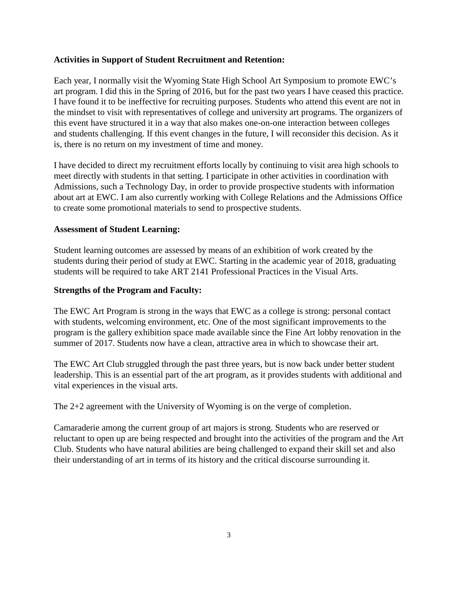### **Activities in Support of Student Recruitment and Retention:**

Each year, I normally visit the Wyoming State High School Art Symposium to promote EWC's art program. I did this in the Spring of 2016, but for the past two years I have ceased this practice. I have found it to be ineffective for recruiting purposes. Students who attend this event are not in the mindset to visit with representatives of college and university art programs. The organizers of this event have structured it in a way that also makes one-on-one interaction between colleges and students challenging. If this event changes in the future, I will reconsider this decision. As it is, there is no return on my investment of time and money.

I have decided to direct my recruitment efforts locally by continuing to visit area high schools to meet directly with students in that setting. I participate in other activities in coordination with Admissions, such a Technology Day, in order to provide prospective students with information about art at EWC. I am also currently working with College Relations and the Admissions Office to create some promotional materials to send to prospective students.

### **Assessment of Student Learning:**

Student learning outcomes are assessed by means of an exhibition of work created by the students during their period of study at EWC. Starting in the academic year of 2018, graduating students will be required to take ART 2141 Professional Practices in the Visual Arts.

### **Strengths of the Program and Faculty:**

The EWC Art Program is strong in the ways that EWC as a college is strong: personal contact with students, welcoming environment, etc. One of the most significant improvements to the program is the gallery exhibition space made available since the Fine Art lobby renovation in the summer of 2017. Students now have a clean, attractive area in which to showcase their art.

The EWC Art Club struggled through the past three years, but is now back under better student leadership. This is an essential part of the art program, as it provides students with additional and vital experiences in the visual arts.

The 2+2 agreement with the University of Wyoming is on the verge of completion.

Camaraderie among the current group of art majors is strong. Students who are reserved or reluctant to open up are being respected and brought into the activities of the program and the Art Club. Students who have natural abilities are being challenged to expand their skill set and also their understanding of art in terms of its history and the critical discourse surrounding it.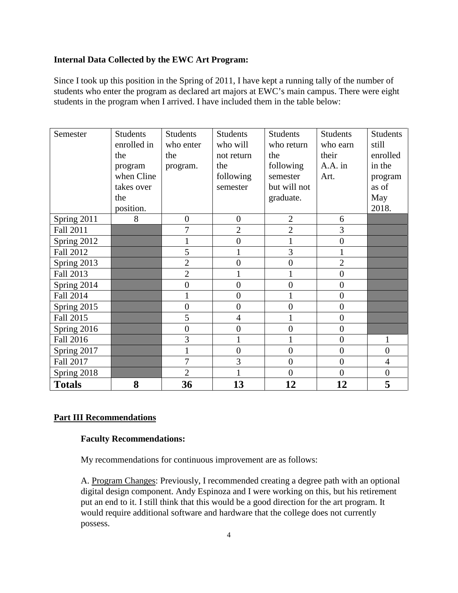#### **Internal Data Collected by the EWC Art Program:**

Since I took up this position in the Spring of 2011, I have kept a running tally of the number of students who enter the program as declared art majors at EWC's main campus. There were eight students in the program when I arrived. I have included them in the table below:

| Semester         | <b>Students</b> | <b>Students</b>  | <b>Students</b>  | <b>Students</b>  | <b>Students</b> | <b>Students</b>  |
|------------------|-----------------|------------------|------------------|------------------|-----------------|------------------|
|                  | enrolled in     | who enter        | who will         | who return       | who earn        | still            |
|                  | the             | the              | not return       | the              | their           | enrolled         |
|                  | program         | program.         | the              | following        | A.A. in         | in the           |
|                  | when Cline      |                  | following        | semester         | Art.            | program          |
|                  | takes over      |                  | semester         | but will not     |                 | as of            |
|                  | the             |                  |                  | graduate.        |                 | May              |
|                  | position.       |                  |                  |                  |                 | 2018.            |
| Spring 2011      | 8               | $\boldsymbol{0}$ | $\overline{0}$   | $\overline{2}$   | 6               |                  |
| <b>Fall 2011</b> |                 | 7                | $\overline{2}$   | $\overline{2}$   | 3               |                  |
| Spring 2012      |                 | $\mathbf{1}$     | $\overline{0}$   | $\mathbf{1}$     | $\overline{0}$  |                  |
| <b>Fall 2012</b> |                 | 5                |                  | 3                |                 |                  |
| Spring 2013      |                 | $\overline{2}$   | $\overline{0}$   | $\overline{0}$   | $\overline{2}$  |                  |
| <b>Fall 2013</b> |                 | $\overline{c}$   |                  | 1                | $\overline{0}$  |                  |
| Spring 2014      |                 | $\overline{0}$   | $\overline{0}$   | $\overline{0}$   | $\overline{0}$  |                  |
| <b>Fall 2014</b> |                 | $\mathbf{1}$     | $\boldsymbol{0}$ | $\mathbf{1}$     | $\overline{0}$  |                  |
| Spring 2015      |                 | $\boldsymbol{0}$ | $\boldsymbol{0}$ | $\overline{0}$   | $\overline{0}$  |                  |
| Fall 2015        |                 | 5                | $\overline{4}$   | $\mathbf{1}$     | $\overline{0}$  |                  |
| Spring 2016      |                 | $\overline{0}$   | $\overline{0}$   | $\boldsymbol{0}$ | $\overline{0}$  |                  |
| <b>Fall 2016</b> |                 | 3                |                  | $\mathbf{1}$     | $\theta$        | $\mathbf{1}$     |
| Spring 2017      |                 | 1                | $\overline{0}$   | $\overline{0}$   | $\overline{0}$  | $\boldsymbol{0}$ |
| Fall 2017        |                 | $\overline{7}$   | 3                | $\overline{0}$   | $\overline{0}$  | $\overline{4}$   |
| Spring 2018      |                 | $\overline{2}$   |                  | $\overline{0}$   | $\overline{0}$  | $\boldsymbol{0}$ |
| <b>Totals</b>    | 8               | 36               | 13               | 12               | 12              | 5                |

### **Part III Recommendations**

#### **Faculty Recommendations:**

My recommendations for continuous improvement are as follows:

A. Program Changes: Previously, I recommended creating a degree path with an optional digital design component. Andy Espinoza and I were working on this, but his retirement put an end to it. I still think that this would be a good direction for the art program. It would require additional software and hardware that the college does not currently possess.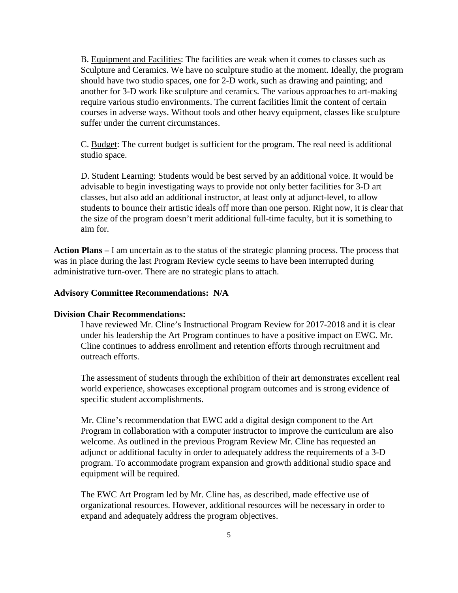B. Equipment and Facilities: The facilities are weak when it comes to classes such as Sculpture and Ceramics. We have no sculpture studio at the moment. Ideally, the program should have two studio spaces, one for 2-D work, such as drawing and painting; and another for 3-D work like sculpture and ceramics. The various approaches to art-making require various studio environments. The current facilities limit the content of certain courses in adverse ways. Without tools and other heavy equipment, classes like sculpture suffer under the current circumstances.

C. Budget: The current budget is sufficient for the program. The real need is additional studio space.

D. Student Learning: Students would be best served by an additional voice. It would be advisable to begin investigating ways to provide not only better facilities for 3-D art classes, but also add an additional instructor, at least only at adjunct-level, to allow students to bounce their artistic ideals off more than one person. Right now, it is clear that the size of the program doesn't merit additional full-time faculty, but it is something to aim for.

**Action Plans –** I am uncertain as to the status of the strategic planning process. The process that was in place during the last Program Review cycle seems to have been interrupted during administrative turn-over. There are no strategic plans to attach.

#### **Advisory Committee Recommendations: N/A**

#### **Division Chair Recommendations:**

I have reviewed Mr. Cline's Instructional Program Review for 2017-2018 and it is clear under his leadership the Art Program continues to have a positive impact on EWC. Mr. Cline continues to address enrollment and retention efforts through recruitment and outreach efforts.

The assessment of students through the exhibition of their art demonstrates excellent real world experience, showcases exceptional program outcomes and is strong evidence of specific student accomplishments.

Mr. Cline's recommendation that EWC add a digital design component to the Art Program in collaboration with a computer instructor to improve the curriculum are also welcome. As outlined in the previous Program Review Mr. Cline has requested an adjunct or additional faculty in order to adequately address the requirements of a 3-D program. To accommodate program expansion and growth additional studio space and equipment will be required.

The EWC Art Program led by Mr. Cline has, as described, made effective use of organizational resources. However, additional resources will be necessary in order to expand and adequately address the program objectives.